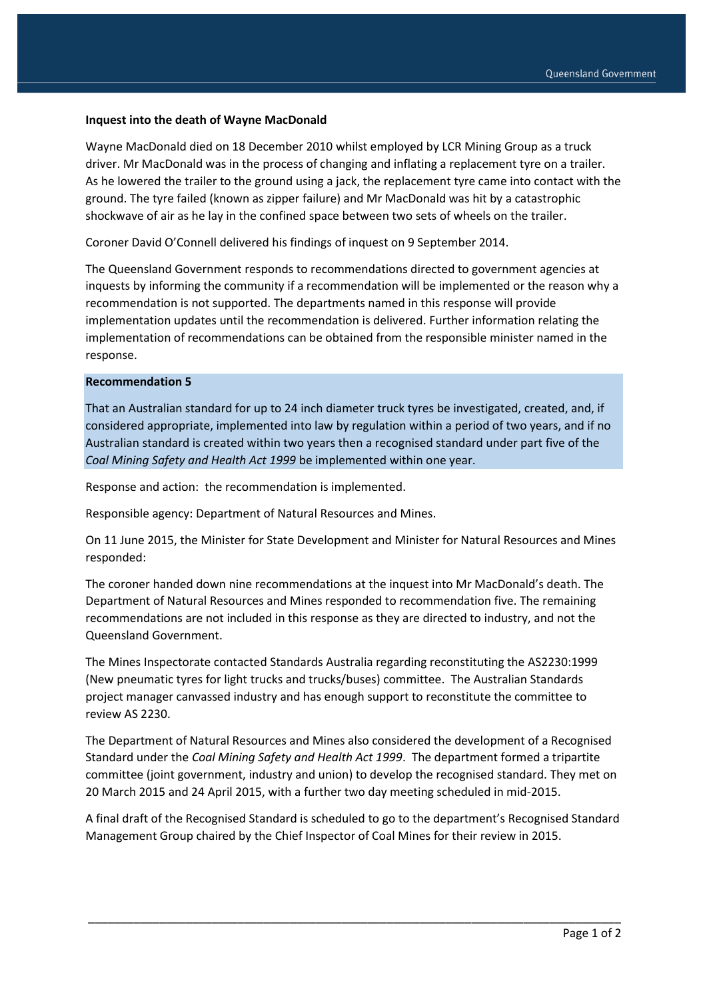## **Inquest into the death of Wayne MacDonald**

Wayne MacDonald died on 18 December 2010 whilst employed by LCR Mining Group as a truck driver. Mr MacDonald was in the process of changing and inflating a replacement tyre on a trailer. As he lowered the trailer to the ground using a jack, the replacement tyre came into contact with the ground. The tyre failed (known as zipper failure) and Mr MacDonald was hit by a catastrophic shockwave of air as he lay in the confined space between two sets of wheels on the trailer.

Coroner David O'Connell delivered his findings of inquest on 9 September 2014.

The Queensland Government responds to recommendations directed to government agencies at inquests by informing the community if a recommendation will be implemented or the reason why a recommendation is not supported. The departments named in this response will provide implementation updates until the recommendation is delivered. Further information relating the implementation of recommendations can be obtained from the responsible minister named in the response.

## **Recommendation 5**

That an Australian standard for up to 24 inch diameter truck tyres be investigated, created, and, if considered appropriate, implemented into law by regulation within a period of two years, and if no Australian standard is created within two years then a recognised standard under part five of the *Coal Mining Safety and Health Act 1999* be implemented within one year.

Response and action: the recommendation is implemented.

Responsible agency: Department of Natural Resources and Mines.

On 11 June 2015, the Minister for State Development and Minister for Natural Resources and Mines responded:

The coroner handed down nine recommendations at the inquest into Mr MacDonald's death. The Department of Natural Resources and Mines responded to recommendation five. The remaining recommendations are not included in this response as they are directed to industry, and not the Queensland Government.

The Mines Inspectorate contacted Standards Australia regarding reconstituting the AS2230:1999 (New pneumatic tyres for light trucks and trucks/buses) committee. The Australian Standards project manager canvassed industry and has enough support to reconstitute the committee to review AS 2230.

The Department of Natural Resources and Mines also considered the development of a Recognised Standard under the *Coal Mining Safety and Health Act 1999*. The department formed a tripartite committee (joint government, industry and union) to develop the recognised standard. They met on 20 March 2015 and 24 April 2015, with a further two day meeting scheduled in mid-2015.

A final draft of the Recognised Standard is scheduled to go to the department's Recognised Standard Management Group chaired by the Chief Inspector of Coal Mines for their review in 2015.

\_\_\_\_\_\_\_\_\_\_\_\_\_\_\_\_\_\_\_\_\_\_\_\_\_\_\_\_\_\_\_\_\_\_\_\_\_\_\_\_\_\_\_\_\_\_\_\_\_\_\_\_\_\_\_\_\_\_\_\_\_\_\_\_\_\_\_\_\_\_\_\_\_\_\_\_\_\_\_\_\_\_